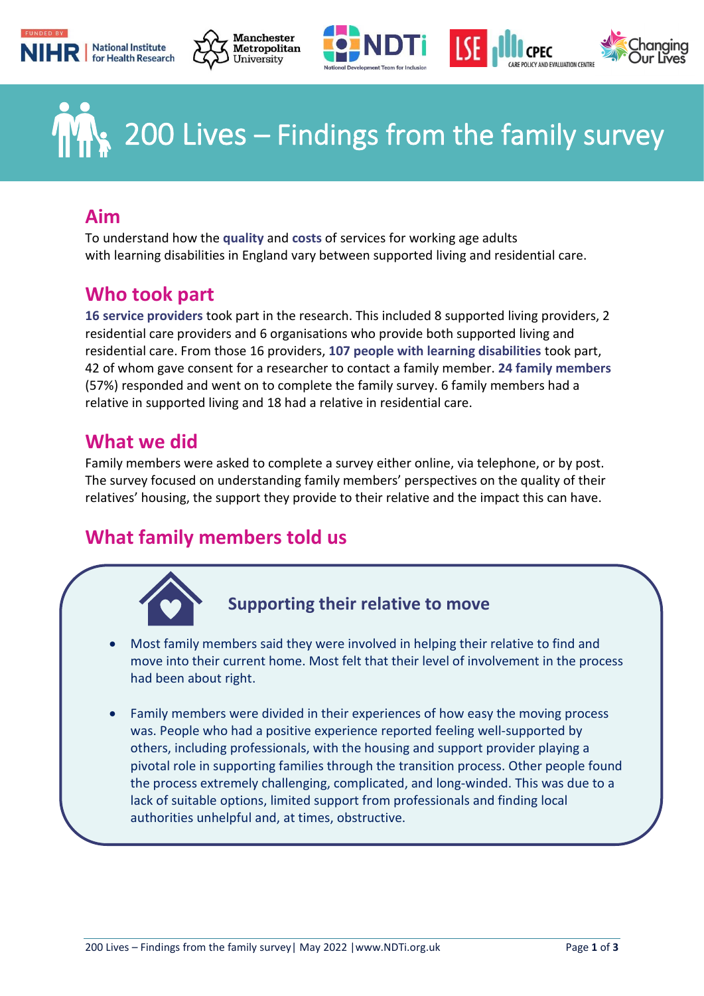





# $\angle$  200 Lives – Findings from the family survey

## **Aim**

To understand how the **quality** and **costs** of services for working age adults with learning disabilities in England vary between supported living and residential care.

# **Who took part**

**16 service providers** took part in the research. This included 8 supported living providers, 2 residential care providers and 6 organisations who provide both supported living and residential care. From those 16 providers, **107 people with learning disabilities** took part, 42 of whom gave consent for a researcher to contact a family member. **24 family members** (57%) responded and went on to complete the family survey. 6 family members had a relative in supported living and 18 had a relative in residential care.

# **What we did**

Family members were asked to complete a survey either online, via telephone, or by post. The survey focused on understanding family members' perspectives on the quality of their relatives' housing, the support they provide to their relative and the impact this can have.

# **What family members told us**



## **Supporting their relative to move**

- Most family members said they were involved in helping their relative to find and move into their current home. Most felt that their level of involvement in the process had been about right.
- Family members were divided in their experiences of how easy the moving process was. People who had a positive experience reported feeling well-supported by others, including professionals, with the housing and support provider playing a pivotal role in supporting families through the transition process. Other people found the process extremely challenging, complicated, and long-winded. This was due to a lack of suitable options, limited support from professionals and finding local authorities unhelpful and, at times, obstructive.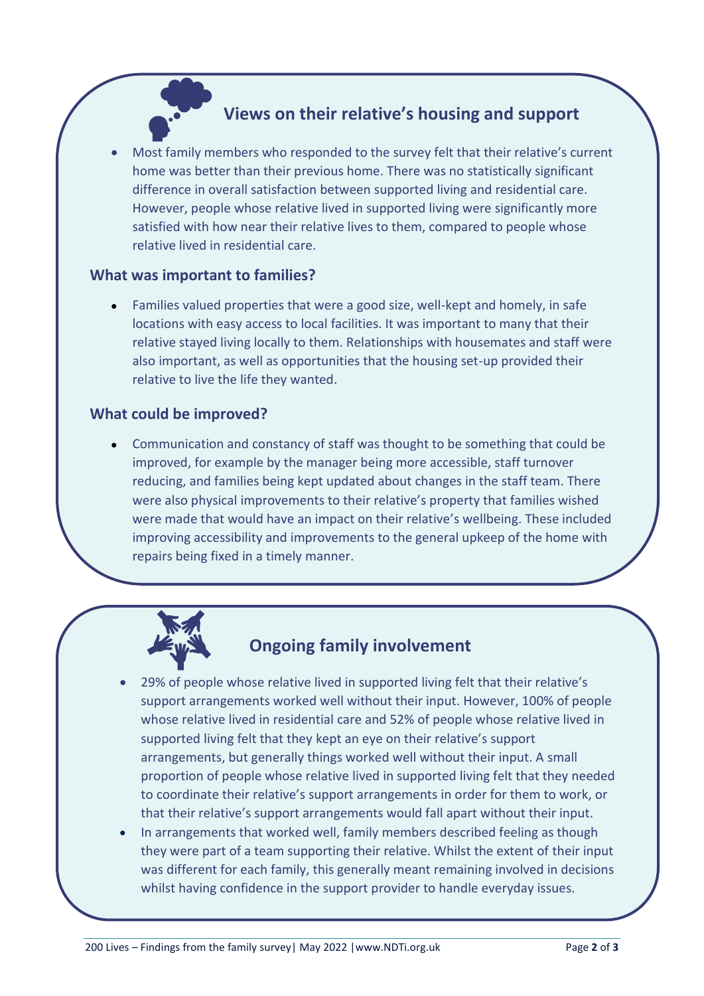#### **Views on their relative's housing and support**

• Most family members who responded to the survey felt that their relative's current home was better than their previous home. There was no statistically significant difference in overall satisfaction between supported living and residential care. However, people whose relative lived in supported living were significantly more satisfied with how near their relative lives to them, compared to people whose relative lived in residential care.

#### **What was important to families?**

• Families valued properties that were a good size, well-kept and homely, in safe locations with easy access to local facilities. It was important to many that their relative stayed living locally to them. Relationships with housemates and staff were also important, as well as opportunities that the housing set-up provided their relative to live the life they wanted.

#### **What could be improved?**

• Communication and constancy of staff was thought to be something that could be improved, for example by the manager being more accessible, staff turnover reducing, and families being kept updated about changes in the staff team. There were also physical improvements to their relative's property that families wished were made that would have an impact on their relative's wellbeing. These included improving accessibility and improvements to the general upkeep of the home with repairs being fixed in a timely manner.



## **Ongoing family involvement**

- 29% of people whose relative lived in supported living felt that their relative's support arrangements worked well without their input. However, 100% of people whose relative lived in residential care and 52% of people whose relative lived in supported living felt that they kept an eye on their relative's support arrangements, but generally things worked well without their input. A small proportion of people whose relative lived in supported living felt that they needed to coordinate their relative's support arrangements in order for them to work, or that their relative's support arrangements would fall apart without their input.
- In arrangements that worked well, family members described feeling as though they were part of a team supporting their relative. Whilst the extent of their input was different for each family, this generally meant remaining involved in decisions whilst having confidence in the support provider to handle everyday issues.